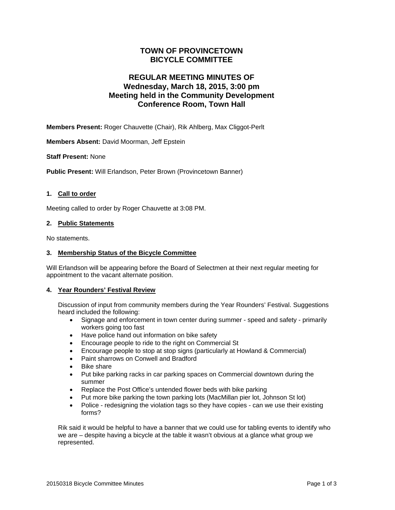## **TOWN OF PROVINCETOWN BICYCLE COMMITTEE**

# **REGULAR MEETING MINUTES OF Wednesday, March 18, 2015, 3:00 pm Meeting held in the Community Development Conference Room, Town Hall**

**Members Present:** Roger Chauvette (Chair), Rik Ahlberg, Max Cliggot-Perlt

**Members Absent:** David Moorman, Jeff Epstein

#### **Staff Present:** None

**Public Present:** Will Erlandson, Peter Brown (Provincetown Banner)

#### **1. Call to order**

Meeting called to order by Roger Chauvette at 3:08 PM.

#### **2. Public Statements**

No statements.

#### **3. Membership Status of the Bicycle Committee**

Will Erlandson will be appearing before the Board of Selectmen at their next regular meeting for appointment to the vacant alternate position.

#### **4. Year Rounders' Festival Review**

Discussion of input from community members during the Year Rounders' Festival. Suggestions heard included the following:

- Signage and enforcement in town center during summer speed and safety primarily workers going too fast
- Have police hand out information on bike safety
- Encourage people to ride to the right on Commercial St
- Encourage people to stop at stop signs (particularly at Howland & Commercial)
- Paint sharrows on Conwell and Bradford
- Bike share
- Put bike parking racks in car parking spaces on Commercial downtown during the summer
- Replace the Post Office's untended flower beds with bike parking
- Put more bike parking the town parking lots (MacMillan pier lot, Johnson St lot)
- Police redesigning the violation tags so they have copies can we use their existing forms?

Rik said it would be helpful to have a banner that we could use for tabling events to identify who we are – despite having a bicycle at the table it wasn't obvious at a glance what group we represented.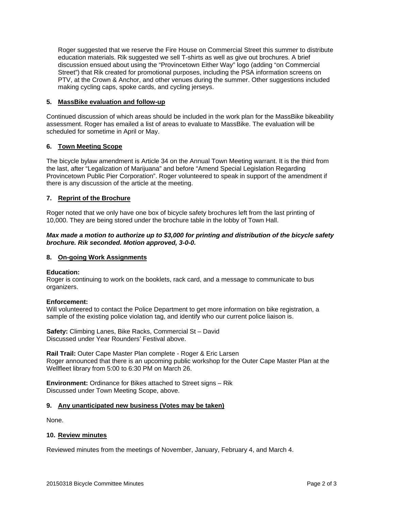Roger suggested that we reserve the Fire House on Commercial Street this summer to distribute education materials. Rik suggested we sell T-shirts as well as give out brochures. A brief discussion ensued about using the "Provincetown Either Way" logo (adding "on Commercial Street") that Rik created for promotional purposes, including the PSA information screens on PTV, at the Crown & Anchor, and other venues during the summer. Other suggestions included making cycling caps, spoke cards, and cycling jerseys.

#### **5. MassBike evaluation and follow-up**

Continued discussion of which areas should be included in the work plan for the MassBike bikeability assessment. Roger has emailed a list of areas to evaluate to MassBike. The evaluation will be scheduled for sometime in April or May.

### **6. Town Meeting Scope**

The bicycle bylaw amendment is Article 34 on the Annual Town Meeting warrant. It is the third from the last, after "Legalization of Marijuana" and before "Amend Special Legislation Regarding Provincetown Public Pier Corporation". Roger volunteered to speak in support of the amendment if there is any discussion of the article at the meeting.

## **7. Reprint of the Brochure**

Roger noted that we only have one box of bicycle safety brochures left from the last printing of 10,000. They are being stored under the brochure table in the lobby of Town Hall.

#### *Max made a motion to authorize up to \$3,000 for printing and distribution of the bicycle safety brochure. Rik seconded. Motion approved, 3-0-0.*

#### **8. On-going Work Assignments**

#### **Education:**

Roger is continuing to work on the booklets, rack card, and a message to communicate to bus organizers.

#### **Enforcement:**

Will volunteered to contact the Police Department to get more information on bike registration, a sample of the existing police violation tag, and identify who our current police liaison is.

**Safety:** Climbing Lanes, Bike Racks, Commercial St – David Discussed under Year Rounders' Festival above.

**Rail Trail:** Outer Cape Master Plan complete - Roger & Eric Larsen Roger announced that there is an upcoming public workshop for the Outer Cape Master Plan at the Wellfleet library from 5:00 to 6:30 PM on March 26.

**Environment:** Ordinance for Bikes attached to Street signs – Rik Discussed under Town Meeting Scope, above.

#### **9. Any unanticipated new business (Votes may be taken)**

None.

#### **10. Review minutes**

Reviewed minutes from the meetings of November, January, February 4, and March 4.